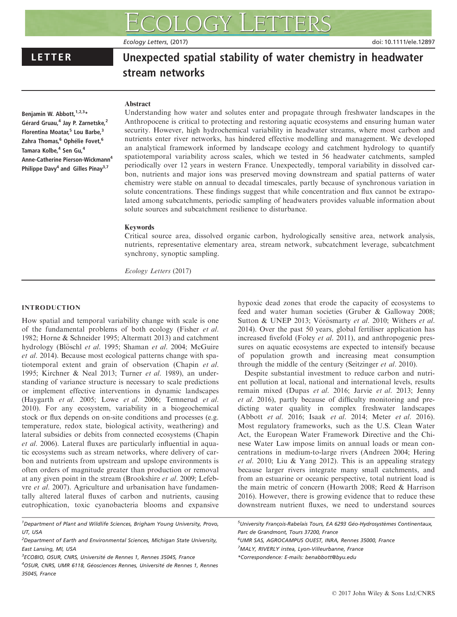Ecology Letters, (2017) doi: 10.1111/ele.12897

# LETTER Unexpected spatial stability of water chemistry in headwater stream networks

# **Abstract**

Benjamin W. Abbott,  $1,2,3*$ Gérard Gruau,<sup>4</sup> Jay P. Zarnetske,<sup>2</sup> Florentina Moatar,<sup>5</sup> Lou Barbe,<sup>3</sup> Zahra Thomas,<sup>6</sup> Ophélie Fovet,<sup>6</sup> Tamara Kolbe.<sup>4</sup> Sen Gu.<sup>4</sup> Anne-Catherine Pierson-Wickmann4 Philippe Davy<sup>4</sup> and Gilles Pinay<sup>3,7</sup>

Understanding how water and solutes enter and propagate through freshwater landscapes in the Anthropocene is critical to protecting and restoring aquatic ecosystems and ensuring human water security. However, high hydrochemical variability in headwater streams, where most carbon and nutrients enter river networks, has hindered effective modelling and management. We developed an analytical framework informed by landscape ecology and catchment hydrology to quantify spatiotemporal variability across scales, which we tested in 56 headwater catchments, sampled periodically over 12 years in western France. Unexpectedly, temporal variability in dissolved carbon, nutrients and major ions was preserved moving downstream and spatial patterns of water chemistry were stable on annual to decadal timescales, partly because of synchronous variation in solute concentrations. These findings suggest that while concentration and flux cannot be extrapolated among subcatchments, periodic sampling of headwaters provides valuable information about solute sources and subcatchment resilience to disturbance.

# Keywords

Critical source area, dissolved organic carbon, hydrologically sensitive area, network analysis, nutrients, representative elementary area, stream network, subcatchment leverage, subcatchment synchrony, synoptic sampling.

Ecology Letters (2017)

# INTRODUCTION

How spatial and temporal variability change with scale is one of the fundamental problems of both ecology (Fisher et al. 1982; Horne & Schneider 1995; Altermatt 2013) and catchment hydrology (Blöschl et al. 1995; Shaman et al. 2004; McGuire et al. 2014). Because most ecological patterns change with spatiotemporal extent and grain of observation (Chapin et al. 1995; Kirchner & Neal 2013; Turner et al. 1989), an understanding of variance structure is necessary to scale predictions or implement effective interventions in dynamic landscapes (Haygarth et al. 2005; Lowe et al. 2006; Temnerud et al. 2010). For any ecosystem, variability in a biogeochemical stock or flux depends on on-site conditions and processes (e.g. temperature, redox state, biological activity, weathering) and lateral subsidies or debits from connected ecosystems (Chapin et al. 2006). Lateral fluxes are particularly influential in aquatic ecosystems such as stream networks, where delivery of carbon and nutrients from upstream and upslope environments is often orders of magnitude greater than production or removal at any given point in the stream (Brookshire et al. 2009; Lefebvre et al. 2007). Agriculture and urbanisation have fundamentally altered lateral fluxes of carbon and nutrients, causing eutrophication, toxic cyanobacteria blooms and expansive

<sup>1</sup>Department of Plant and Wildlife Sciences, Brigham Young University, Provo, UT, USA

- <sup>2</sup>Department of Earth and Environmental Sciences, Michigan State University, East Lansing, MI, USA
- <sup>3</sup>ECOBIO, OSUR, CNRS, Université de Rennes 1, Rennes 35045, France
- <sup>4</sup>OSUR, CNRS, UMR 6118, Géosciences Rennes, Université de Rennes 1, Rennes 35045, France

hypoxic dead zones that erode the capacity of ecosystems to feed and water human societies (Gruber & Galloway 2008; Sutton & UNEP 2013; Vörösmarty et al. 2010; Withers et al. 2014). Over the past 50 years, global fertiliser application has increased fivefold (Foley et al. 2011), and anthropogenic pressures on aquatic ecosystems are expected to intensify because of population growth and increasing meat consumption through the middle of the century (Seitzinger et al. 2010).

Despite substantial investment to reduce carbon and nutrient pollution at local, national and international levels, results remain mixed (Dupas et al. 2016; Jarvie et al. 2013; Jenny et al. 2016), partly because of difficulty monitoring and predicting water quality in complex freshwater landscapes (Abbott et al. 2016; Isaak et al. 2014; Meter et al. 2016). Most regulatory frameworks, such as the U.S. Clean Water Act, the European Water Framework Directive and the Chinese Water Law impose limits on annual loads or mean concentrations in medium-to-large rivers (Andreen 2004; Hering et al. 2010; Liu & Yang 2012). This is an appealing strategy because larger rivers integrate many small catchments, and from an estuarine or oceanic perspective, total nutrient load is the main metric of concern (Howarth 2008; Reed & Harrison 2016). However, there is growing evidence that to reduce these downstream nutrient fluxes, we need to understand sources

<sup>5</sup>University François-Rabelais Tours, EA 6293 Géo-Hydrosystèmes Continentaux, Parc de Grandmont, Tours 37200, France

6 UMR SAS, AGROCAMPUS OUEST, INRA, Rennes 35000, France <sup>7</sup>MALY, RIVERLY irstea, Lyon-Villeurbanne, France \*Correspondence: E-mails: benabbott@byu.edu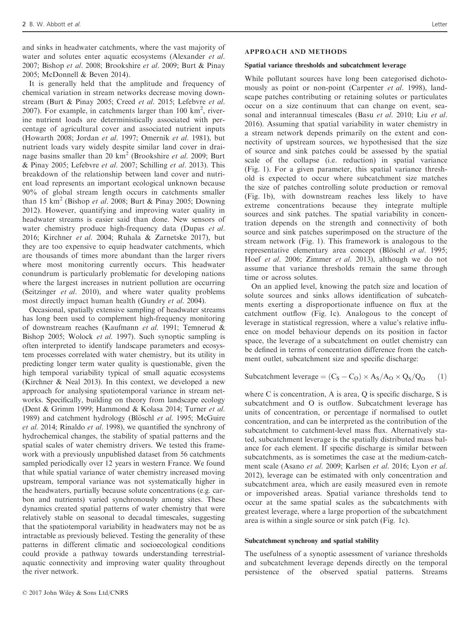and sinks in headwater catchments, where the vast majority of water and solutes enter aquatic ecosystems (Alexander *et al.*) 2007; Bishop et al. 2008; Brookshire et al. 2009; Burt & Pinay 2005; McDonnell & Beven 2014).

It is generally held that the amplitude and frequency of chemical variation in stream networks decrease moving downstream (Burt & Pinay 2005; Creed et al. 2015; Lefebvre et al. 2007). For example, in catchments larger than  $100 \text{ km}^2$ , riverine nutrient loads are deterministically associated with percentage of agricultural cover and associated nutrient inputs (Howarth 2008; Jordan et al. 1997; Omernik et al. 1981), but nutrient loads vary widely despite similar land cover in drainage basins smaller than 20  $km^2$  (Brookshire *et al.* 2009; Burt & Pinay 2005; Lefebvre et al. 2007; Schilling et al. 2013). This breakdown of the relationship between land cover and nutrient load represents an important ecological unknown because 90% of global stream length occurs in catchments smaller than 15  $km^2$  (Bishop *et al.* 2008; Burt & Pinay 2005; Downing 2012). However, quantifying and improving water quality in headwater streams is easier said than done. New sensors of water chemistry produce high-frequency data (Dupas et al. 2016; Kirchner et al. 2004; Ruhala & Zarnetske 2017), but they are too expensive to equip headwater catchments, which are thousands of times more abundant than the larger rivers where most monitoring currently occurs. This headwater conundrum is particularly problematic for developing nations where the largest increases in nutrient pollution are occurring (Seitzinger et al. 2010), and where water quality problems most directly impact human health (Gundry et al. 2004).

Occasional, spatially extensive sampling of headwater streams has long been used to complement high-frequency monitoring of downstream reaches (Kaufmann et al. 1991; Temnerud & Bishop 2005; Wolock et al. 1997). Such synoptic sampling is often interpreted to identify landscape parameters and ecosystem processes correlated with water chemistry, but its utility in predicting longer term water quality is questionable, given the high temporal variability typical of small aquatic ecosystems (Kirchner & Neal 2013). In this context, we developed a new approach for analysing spatiotemporal variance in stream networks. Specifically, building on theory from landscape ecology (Dent & Grimm 1999; Hammond & Kolasa 2014; Turner et al. 1989) and catchment hydrology (Blöschl et al. 1995; McGuire et al. 2014; Rinaldo et al. 1998), we quantified the synchrony of hydrochemical changes, the stability of spatial patterns and the spatial scales of water chemistry drivers. We tested this framework with a previously unpublished dataset from 56 catchments sampled periodically over 12 years in western France. We found that while spatial variance of water chemistry increased moving upstream, temporal variance was not systematically higher in the headwaters, partially because solute concentrations (e.g. carbon and nutrients) varied synchronously among sites. These dynamics created spatial patterns of water chemistry that were relatively stable on seasonal to decadal timescales, suggesting that the spatiotemporal variability in headwaters may not be as intractable as previously believed. Testing the generality of these patterns in different climatic and socioecological conditions could provide a pathway towards understanding terrestrialaquatic connectivity and improving water quality throughout the river network.

#### APPROACH AND METHODS

#### Spatial variance thresholds and subcatchment leverage

While pollutant sources have long been categorised dichotomously as point or non-point (Carpenter et al. 1998), landscape patches contributing or retaining solutes or particulates occur on a size continuum that can change on event, seasonal and interannual timescales (Basu et al. 2010; Liu et al. 2016). Assuming that spatial variability in water chemistry in a stream network depends primarily on the extent and connectivity of upstream sources, we hypothesised that the size of source and sink patches could be assessed by the spatial scale of the collapse (i.e. reduction) in spatial variance (Fig. 1). For a given parameter, this spatial variance threshold is expected to occur where subcatchment size matches the size of patches controlling solute production or removal (Fig. 1b), with downstream reaches less likely to have extreme concentrations because they integrate multiple sources and sink patches. The spatial variability in concentration depends on the strength and connectivity of both source and sink patches superimposed on the structure of the stream network (Fig. 1). This framework is analogous to the representative elementary area concept (Blöschl et al. 1995; Hoef et al. 2006; Zimmer et al. 2013), although we do not assume that variance thresholds remain the same through time or across solutes.

On an applied level, knowing the patch size and location of solute sources and sinks allows identification of subcatchments exerting a disproportionate influence on flux at the catchment outflow (Fig. 1c). Analogous to the concept of leverage in statistical regression, where a value's relative influence on model behaviour depends on its position in factor space, the leverage of a subcatchment on outlet chemistry can be defined in terms of concentration difference from the catchment outlet, subcatchment size and specific discharge:

Subcatchment leverage =  $(C_S - C_O) \times A_S/A_O \times Q_S/Q_O$  (1)

where C is concentration, A is area, Q is specific discharge, S is subcatchment and O is outflow. Subcatchment leverage has units of concentration, or percentage if normalised to outlet concentration, and can be interpreted as the contribution of the subcatchment to catchment-level mass flux. Alternatively stated, subcatchment leverage is the spatially distributed mass balance for each element. If specific discharge is similar between subcatchments, as is sometimes the case at the medium-catchment scale (Asano et al. 2009; Karlsen et al. 2016; Lyon et al. 2012), leverage can be estimated with only concentration and subcatchment area, which are easily measured even in remote or impoverished areas. Spatial variance thresholds tend to occur at the same spatial scales as the subcatchments with greatest leverage, where a large proportion of the subcatchment area is within a single source or sink patch (Fig. 1c).

#### Subcatchment synchrony and spatial stability

The usefulness of a synoptic assessment of variance thresholds and subcatchment leverage depends directly on the temporal persistence of the observed spatial patterns. Streams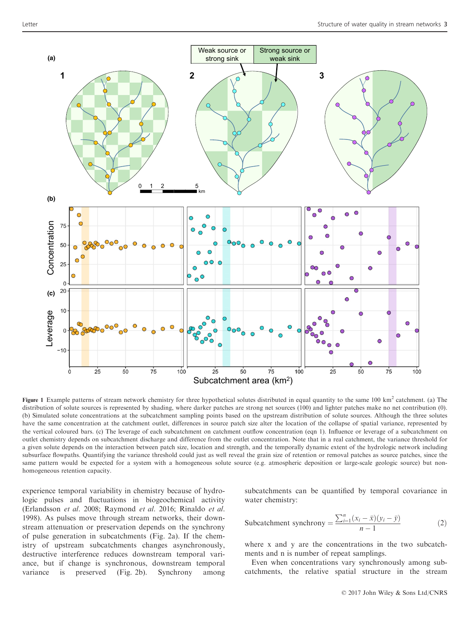

Figure 1 Example patterns of stream network chemistry for three hypothetical solutes distributed in equal quantity to the same 100 km<sup>2</sup> catchment. (a) The distribution of solute sources is represented by shading, where darker patches are strong net sources (100) and lighter patches make no net contribution (0). (b) Simulated solute concentrations at the subcatchment sampling points based on the upstream distribution of solute sources. Although the three solutes have the same concentration at the catchment outlet, differences in source patch size alter the location of the collapse of spatial variance, represented by the vertical coloured bars. (c) The leverage of each subcatchment on catchment outflow concentration (eqn 1). Influence or leverage of a subcatchment on outlet chemistry depends on subcatchment discharge and difference from the outlet concentration. Note that in a real catchment, the variance threshold for a given solute depends on the interaction between patch size, location and strength, and the temporally dynamic extent of the hydrologic network including subsurface flowpaths. Quantifying the variance threshold could just as well reveal the grain size of retention or removal patches as source patches, since the same pattern would be expected for a system with a homogeneous solute source (e.g. atmospheric deposition or large-scale geologic source) but nonhomogeneous retention capacity.

experience temporal variability in chemistry because of hydrologic pulses and fluctuations in biogeochemical activity (Erlandsson et al. 2008; Raymond et al. 2016; Rinaldo et al. 1998). As pulses move through stream networks, their downstream attenuation or preservation depends on the synchrony of pulse generation in subcatchments (Fig. 2a). If the chemistry of upstream subcatchments changes asynchronously, destructive interference reduces downstream temporal variance, but if change is synchronous, downstream temporal variance is preserved (Fig. 2b). Synchrony among subcatchments can be quantified by temporal covariance in water chemistry:

Subcatchment synchrony = 
$$
\frac{\sum_{i=1}^{n} (x_i - \bar{x})(y_i - \bar{y})}{n - 1}
$$
 (2)

where x and y are the concentrations in the two subcatchments and n is number of repeat samplings.

Even when concentrations vary synchronously among subcatchments, the relative spatial structure in the stream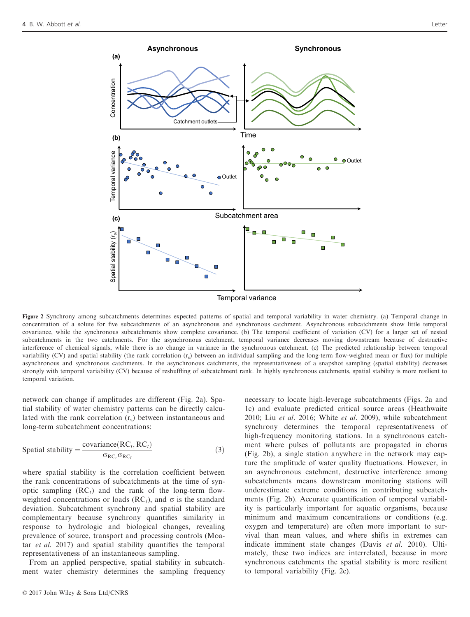

Figure 2 Synchrony among subcatchments determines expected patterns of spatial and temporal variability in water chemistry. (a) Temporal change in concentration of a solute for five subcatchments of an asynchronous and synchronous catchment. Asynchronous subcatchments show little temporal covariance, while the synchronous subcatchments show complete covariance. (b) The temporal coefficient of variation (CV) for a larger set of nested subcatchments in the two catchments. For the asynchronous catchment, temporal variance decreases moving downstream because of destructive interference of chemical signals, while there is no change in variance in the synchronous catchment. (c) The predicted relationship between temporal variability (CV) and spatial stability (the rank correlation  $(r<sub>s</sub>)$ ) between an individual sampling and the long-term flow-weighted mean or flux) for multiple asynchronous and synchronous catchments. In the asynchronous catchments, the representativeness of a snapshot sampling (spatial stability) decreases strongly with temporal variability (CV) because of reshuffling of subcatchment rank. In highly synchronous catchments, spatial stability is more resilient to temporal variation.

network can change if amplitudes are different (Fig. 2a). Spatial stability of water chemistry patterns can be directly calculated with the rank correlation  $(r<sub>s</sub>)$  between instantaneous and long-term subcatchment concentrations:

$$
\text{Spatial stability} = \frac{\text{covariance}(RC_t, RC_{\bar{t}})}{\sigma_{RC_t}\sigma_{RC_{\bar{t}}}}
$$
\n
$$
\tag{3}
$$

where spatial stability is the correlation coefficient between the rank concentrations of subcatchments at the time of synoptic sampling  $(RC_t)$  and the rank of the long-term flowweighted concentrations or loads ( $RC<sub>t</sub>$ ), and  $\sigma$  is the standard deviation. Subcatchment synchrony and spatial stability are complementary because synchrony quantifies similarity in response to hydrologic and biological changes, revealing prevalence of source, transport and processing controls (Moatar et al. 2017) and spatial stability quantifies the temporal representativeness of an instantaneous sampling.

From an applied perspective, spatial stability in subcatchment water chemistry determines the sampling frequency

an asynchronous catchment, destructive interference among subcatchments means downstream monitoring stations will underestimate extreme conditions in contributing subcatchments (Fig. 2b). Accurate quantification of temporal variability is particularly important for aquatic organisms, because minimum and maximum concentrations or conditions (e.g. oxygen and temperature) are often more important to survival than mean values, and where shifts in extremes can indicate imminent state changes (Davis et al. 2010). Ultimately, these two indices are interrelated, because in more synchronous catchments the spatial stability is more resilient to temporal variability (Fig. 2c).

necessary to locate high-leverage subcatchments (Figs. 2a and 1c) and evaluate predicted critical source areas (Heathwaite 2010; Liu et al. 2016; White et al. 2009), while subcatchment synchrony determines the temporal representativeness of high-frequency monitoring stations. In a synchronous catchment where pulses of pollutants are propagated in chorus (Fig. 2b), a single station anywhere in the network may capture the amplitude of water quality fluctuations. However, in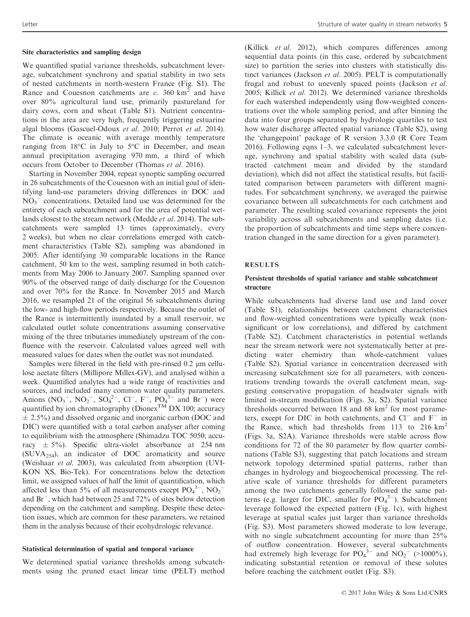#### Site characteristics and sampling design

We quantified spatial variance thresholds, subcatchment leverage, subcatchment synchrony and spatial stability in two sets of nested catchments in north-western France (Fig. S1). The Rance and Couesnon catchments are  $c$ . 360 km<sup>2</sup> and have over 80% agricultural land use, primarily pastureland for dairy cows, corn and wheat (Table S1). Nutrient concentrations in the area are very high, frequently triggering estuarine algal blooms (Gascuel-Odoux et al. 2010; Perrot et al. 2014). The climate is oceanic with average monthly temperature ranging from 18°C in July to 5°C in December, and mean annual precipitation averaging 970 mm, a third of which occurs from October to December (Thomas et al. 2016).

Starting in November 2004, repeat synoptic sampling occurred in 26 subcatchments of the Couesnon with an initial goal of identifying land-use parameters driving differences in DOC and  $NO<sub>3</sub><sup>-</sup>$  concentrations. Detailed land use was determined for the entirety of each subcatchment and for the area of potential wetlands closest to the stream network (Medde et al. 2014). The subcatchments were sampled 13 times (approximately, every 2 weeks), but when no clear correlations emerged with catchment characteristics (Table S2), sampling was abandoned in 2005. After identifying 30 comparable locations in the Rance catchment, 50 km to the west, sampling resumed in both catchments from May 2006 to January 2007. Sampling spanned over 90% of the observed range of daily discharge for the Couesnon and over 70% for the Rance. In November 2015 and March 2016, we resampled 21 of the original 56 subcatchments during the low- and high-flow periods respectively. Because the outlet of the Rance is intermittently inundated by a small reservoir, we calculated outlet solute concentrations assuming conservative mixing of the three tributaries immediately upstream of the confluence with the reservoir. Calculated values agreed well with measured values for dates when the outlet was not inundated.

Samples were filtered in the field with pre-rinsed  $0.2 \mu m$  cellulose acetate filters (Millipore Millex-GV), and analysed within a week. Quantified analytes had a wide range of reactivities and sources, and included many common water quality parameters. Anions  $(NO_3^-, NO_2^-, SO_4^{2-}, Cl^-, F^-, PO_4^{3-}$  and Br<sup>-</sup>) were quantified by ion chromatography (Dionex<sup>TM</sup> DX 100; accuracy  $\pm$  2.5%) and dissolved organic and inorganic carbon (DOC and DIC) were quantified with a total carbon analyser after coming to equilibrium with the atmosphere (Shimadzu TOC 5050; accuracy  $\pm$  5%). Specific ultra-violet absorbance at 254 nm  $(SUVA<sub>254</sub>)$ , an indicator of DOC aromaticity and source (Weishaar et al. 2003), was calculated from absorption (UVI-KON XS, Bio-Tek). For concentrations below the detection limit, we assigned values of half the limit of quantification, which affected less than 5% of all measurements except  $PO_4^3$ ,  $NO_2^$ and Br<sup>-</sup>, which had between 25 and 72% of sites below detection depending on the catchment and sampling. Despite these detection issues, which are common for these parameters, we retained them in the analysis because of their ecohydrologic relevance.

# Statistical determination of spatial and temporal variance

We determined spatial variance thresholds among subcatchments using the pruned exact linear time (PELT) method (Killick et al. 2012), which compares differences among sequential data points (in this case, ordered by subcatchment size) to partition the series into clusters with statistically distinct variances (Jackson et al. 2005). PELT is computationally frugal and robust to unevenly spaced points (Jackson et al. 2005; Killick et al. 2012). We determined variance thresholds for each watershed independently using flow-weighted concentrations over the whole sampling period, and after binning the data into four groups separated by hydrologic quartiles to test how water discharge affected spatial variance (Table S2), using the 'changepoint' package of R version 3.3.0 (R Core Team 2016). Following eqns 1–3, we calculated subcatchment leverage, synchrony and spatial stability with scaled data (subtracted catchment mean and divided by the standard deviation), which did not affect the statistical results, but facilitated comparison between parameters with different magnitudes. For subcatchment synchrony, we averaged the pairwise covariance between all subcatchments for each catchment and parameter. The resulting scaled covariance represents the joint variability across all subcatchments and sampling dates (i.e. the proportion of subcatchments and time steps where concentration changed in the same direction for a given parameter).

#### RESULTS

#### Persistent thresholds of spatial variance and stable subcatchment structure

While subcatchments had diverse land use and land cover (Table S1), relationships between catchment characteristics and flow-weighted concentrations were typically weak (nonsignificant or low correlations), and differed by catchment (Table S2). Catchment characteristics in potential wetlands near the stream network were not systematically better at predicting water chemistry than whole-catchment values (Table S2). Spatial variance in concentration decreased with increasing subcatchment size for all parameters, with concentrations trending towards the overall catchment mean, suggesting conservative propagation of headwater signals with limited in-stream modification (Figs. 3a, S2). Spatial variance thresholds occurred between 18 and 68  $km<sup>2</sup>$  for most parameters, except for DIC in both catchments, and  $Cl^-$  and  $F^-$  in the Rance, which had thresholds from 113 to 216  $\text{km}^2$ (Figs. 3a, S2A). Variance thresholds were stable across flow conditions for 72 of the 80 parameter by flow quarter combinations (Table S3), suggesting that patch locations and stream network topology determined spatial patterns, rather than changes in hydrology and biogeochemical processing. The relative scale of variance thresholds for different parameters among the two catchments generally followed the same patterns (e.g. larger for DIC, smaller for  $PO_4^3$ ). Subcatchment leverage followed the expected pattern (Fig. 1c), with highest leverage at spatial scales just larger than variance thresholds (Fig. S3). Most parameters showed moderate to low leverage, with no single subcatchment accounting for more than 25% of outflow concentration. However, several subcatchments had extremely high leverage for  $PO_4^{3-}$  and  $NO_2^-$  (>1000%), indicating substantial retention or removal of these solutes before reaching the catchment outlet (Fig. S3).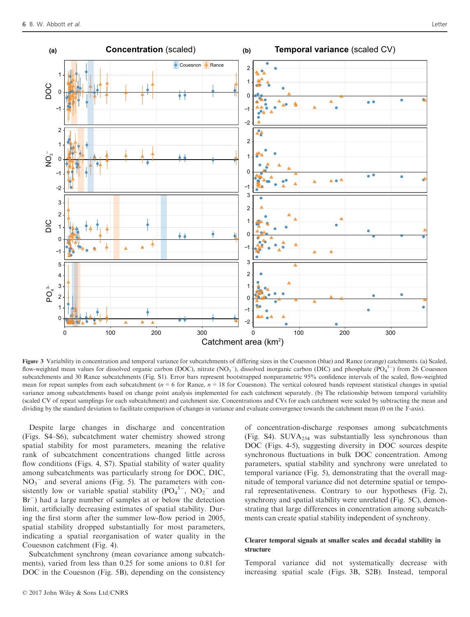

Figure 3 Variability in concentration and temporal variance for subcatchments of differing sizes in the Couesnon (blue) and Rance (orange) catchments. (a) Scaled, flow-weighted mean values for dissolved organic carbon (DOC), nitrate (NO<sub>3</sub><sup>-</sup>), dissolved inorganic carbon (DIC) and phosphate (PO<sub>4</sub><sup>3-</sup>) from 26 Couesnon subcatchments and 30 Rance subcatchments (Fig. S1). Error bars represent bootstrapped nonparametric 95% confidence intervals of the scaled, flow-weighted mean for repeat samples from each subcatchment ( $n = 6$  for Rance,  $n = 18$  for Couesnon). The vertical coloured bands represent statistical changes in spatial variance among subcatchments based on change point analysis implemented for each catchment separately. (b) The relationship between temporal variability (scaled CV of repeat samplings for each subcatchment) and catchment size. Concentrations and CVs for each catchment were scaled by subtracting the mean and dividing by the standard deviation to facilitate comparison of changes in variance and evaluate convergence towards the catchment mean (0 on the Y-axis).

Despite large changes in discharge and concentration (Figs. S4–S6), subcatchment water chemistry showed strong spatial stability for most parameters, meaning the relative rank of subcatchment concentrations changed little across flow conditions (Figs. 4, S7). Spatial stability of water quality among subcatchments was particularly strong for DOC, DIC,  $NO<sub>3</sub><sup>-</sup>$  and several anions (Fig. 5). The parameters with consistently low or variable spatial stability  $(PO_4^{3-}$ ,  $NO_2^-$  and Br<sup>-</sup>) had a large number of samples at or below the detection limit, artificially decreasing estimates of spatial stability. During the first storm after the summer low-flow period in 2005, spatial stability dropped substantially for most parameters, indicating a spatial reorganisation of water quality in the Couesnon catchment (Fig. 4).

Subcatchment synchrony (mean covariance among subcatchments), varied from less than 0.25 for some anions to 0.81 for DOC in the Couesnon (Fig. 5B), depending on the consistency

of concentration-discharge responses among subcatchments (Fig. S4). SUV $A_{254}$  was substantially less synchronous than DOC (Figs. 4-5), suggesting diversity in DOC sources despite synchronous fluctuations in bulk DOC concentration. Among parameters, spatial stability and synchrony were unrelated to temporal variance (Fig. 5), demonstrating that the overall magnitude of temporal variance did not determine spatial or temporal representativeness. Contrary to our hypotheses (Fig. 2), synchrony and spatial stability were unrelated (Fig. 5C), demonstrating that large differences in concentration among subcatchments can create spatial stability independent of synchrony.

#### Clearer temporal signals at smaller scales and decadal stability in structure

Temporal variance did not systematically decrease with increasing spatial scale (Figs. 3B, S2B). Instead, temporal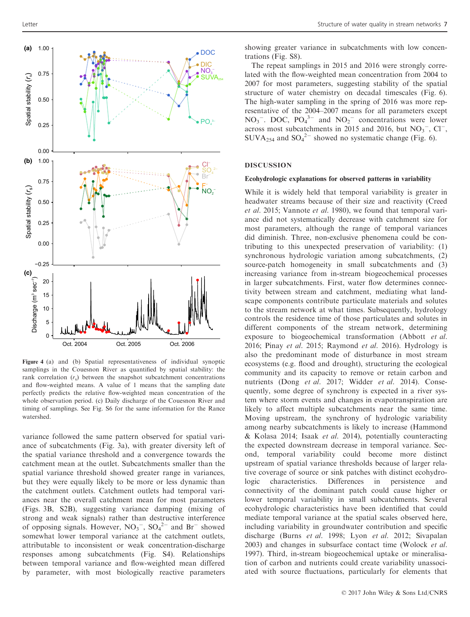

Figure 4 (a) and (b) Spatial representativeness of individual synoptic samplings in the Couesnon River as quantified by spatial stability: the rank correlation  $(r<sub>s</sub>)$  between the snapshot subcatchment concentrations and flow-weighted means. A value of 1 means that the sampling date perfectly predicts the relative flow-weighted mean concentration of the whole observation period. (c) Daily discharge of the Couesnon River and timing of samplings. See Fig. S6 for the same information for the Rance watershed.

variance followed the same pattern observed for spatial variance of subcatchments (Fig. 3a), with greater diversity left of the spatial variance threshold and a convergence towards the catchment mean at the outlet. Subcatchments smaller than the spatial variance threshold showed greater range in variances, but they were equally likely to be more or less dynamic than the catchment outlets. Catchment outlets had temporal variances near the overall catchment mean for most parameters (Figs. 3B, S2B), suggesting variance damping (mixing of strong and weak signals) rather than destructive interference of opposing signals. However,  $NO_3^-$ ,  $SO_4^{2-}$  and  $Br^-$  showed somewhat lower temporal variance at the catchment outlets, attributable to inconsistent or weak concentration-discharge responses among subcatchments (Fig. S4). Relationships between temporal variance and flow-weighted mean differed by parameter, with most biologically reactive parameters

showing greater variance in subcatchments with low concentrations (Fig. S8).

The repeat samplings in 2015 and 2016 were strongly correlated with the flow-weighted mean concentration from 2004 to 2007 for most parameters, suggesting stability of the spatial structure of water chemistry on decadal timescales (Fig. 6). The high-water sampling in the spring of 2016 was more representative of the 2004–2007 means for all parameters except  $NO_3^-$ . DOC,  $PO_4^{3-}$  and  $NO_2^-$  concentrations were lower across most subcatchments in 2015 and 2016, but  $NO<sub>3</sub><sup>-</sup>$ , Cl<sup>-</sup>, SUVA<sub>254</sub> and SO<sub>4</sub><sup>2-</sup> showed no systematic change (Fig. 6).

# DISCUSSION

#### Ecohydrologic explanations for observed patterns in variability

While it is widely held that temporal variability is greater in headwater streams because of their size and reactivity (Creed et al. 2015; Vannote et al. 1980), we found that temporal variance did not systematically decrease with catchment size for most parameters, although the range of temporal variances did diminish. Three, non-exclusive phenomena could be contributing to this unexpected preservation of variability: (1) synchronous hydrologic variation among subcatchments, (2) source-patch homogeneity in small subcatchments and (3) increasing variance from in-stream biogeochemical processes in larger subcatchments. First, water flow determines connectivity between stream and catchment, mediating what landscape components contribute particulate materials and solutes to the stream network at what times. Subsequently, hydrology controls the residence time of those particulates and solutes in different components of the stream network, determining exposure to biogeochemical transformation (Abbott et al. 2016; Pinay et al. 2015; Raymond et al. 2016). Hydrology is also the predominant mode of disturbance in most stream ecosystems (e.g. flood and drought), structuring the ecological community and its capacity to remove or retain carbon and nutrients (Dong et al. 2017; Widder et al. 2014). Consequently, some degree of synchrony is expected in a river system where storm events and changes in evapotranspiration are likely to affect multiple subcatchments near the same time. Moving upstream, the synchrony of hydrologic variability among nearby subcatchments is likely to increase (Hammond & Kolasa 2014; Isaak et al. 2014), potentially counteracting the expected downstream decrease in temporal variance. Second, temporal variability could become more distinct upstream of spatial variance thresholds because of larger relative coverage of source or sink patches with distinct ecohydrologic characteristics. Differences in persistence and connectivity of the dominant patch could cause higher or lower temporal variability in small subcatchments. Several ecohydrologic characteristics have been identified that could mediate temporal variance at the spatial scales observed here, including variability in groundwater contribution and specific discharge (Burns et al. 1998; Lyon et al. 2012; Sivapalan 2003) and changes in subsurface contact time (Wolock et al. 1997). Third, in-stream biogeochemical uptake or mineralisation of carbon and nutrients could create variability unassociated with source fluctuations, particularly for elements that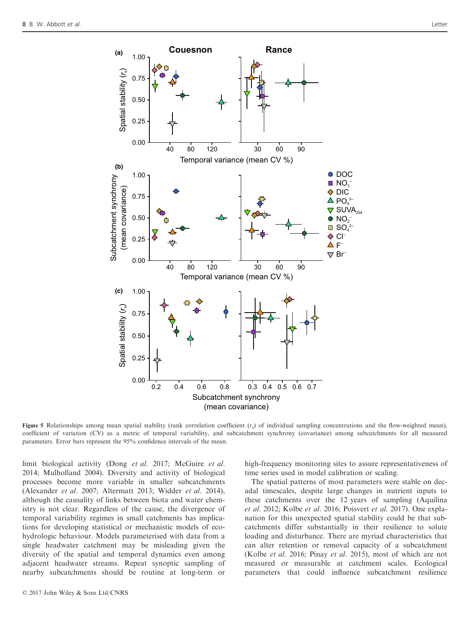

**Figure 5** Relationships among mean spatial stability (rank correlation coefficient  $(r<sub>s</sub>)$  of individual sampling concentrations and the flow-weighted mean), coefficient of variation (CV) as a metric of temporal variability, and subcatchment synchrony (covariance) among subcatchments for all measured parameters. Error bars represent the 95% confidence intervals of the mean.

limit biological activity (Dong et al. 2017; McGuire et al. 2014; Mulholland 2004). Diversity and activity of biological processes become more variable in smaller subcatchments (Alexander et al. 2007; Altermatt 2013; Widder et al. 2014), although the causality of links between biota and water chemistry is not clear. Regardless of the cause, the divergence of temporal variability regimes in small catchments has implications for developing statistical or mechanistic models of ecohydrologic behaviour. Models parameterised with data from a single headwater catchment may be misleading given the diversity of the spatial and temporal dynamics even among adjacent headwater streams. Repeat synoptic sampling of nearby subcatchments should be routine at long-term or

high-frequency monitoring sites to assure representativeness of time series used in model calibration or scaling.

The spatial patterns of most parameters were stable on decadal timescales, despite large changes in nutrient inputs to these catchments over the 12 years of sampling (Aquilina et al. 2012; Kolbe et al. 2016; Poisvert et al. 2017). One explanation for this unexpected spatial stability could be that subcatchments differ substantially in their resilience to solute loading and disturbance. There are myriad characteristics that can alter retention or removal capacity of a subcatchment (Kolbe et al. 2016; Pinay et al. 2015), most of which are not measured or measurable at catchment scales. Ecological parameters that could influence subcatchment resilience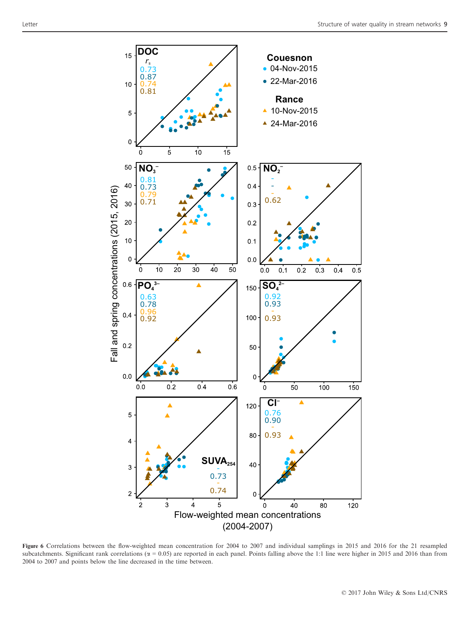

Figure 6 Correlations between the flow-weighted mean concentration for 2004 to 2007 and individual samplings in 2015 and 2016 for the 21 resampled subcatchments. Significant rank correlations ( $\alpha = 0.05$ ) are reported in each panel. Points falling above the 1:1 line were higher in 2015 and 2016 than from 2004 to 2007 and points below the line decreased in the time between.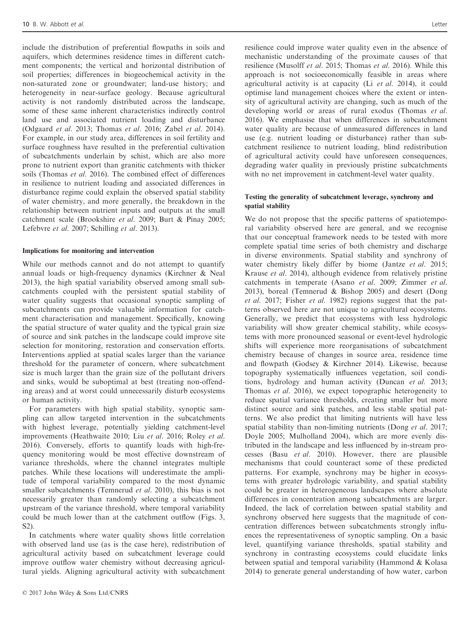include the distribution of preferential flowpaths in soils and aquifers, which determines residence times in different catchment components; the vertical and horizontal distribution of soil properties; differences in biogeochemical activity in the non-saturated zone or groundwater; land-use history; and heterogeneity in near-surface geology. Because agricultural activity is not randomly distributed across the landscape, some of these same inherent characteristics indirectly control land use and associated nutrient loading and disturbance (Odgaard et al. 2013; Thomas et al. 2016; Zabel et al. 2014). For example, in our study area, differences in soil fertility and surface roughness have resulted in the preferential cultivation of subcatchments underlain by schist, which are also more prone to nutrient export than granitic catchments with thicker soils (Thomas et al. 2016). The combined effect of differences in resilience to nutrient loading and associated differences in disturbance regime could explain the observed spatial stability of water chemistry, and more generally, the breakdown in the relationship between nutrient inputs and outputs at the small catchment scale (Brookshire et al. 2009; Burt & Pinay 2005; Lefebvre et al. 2007; Schilling et al. 2013).

#### Implications for monitoring and intervention

While our methods cannot and do not attempt to quantify annual loads or high-frequency dynamics (Kirchner & Neal 2013), the high spatial variability observed among small subcatchments coupled with the persistent spatial stability of water quality suggests that occasional synoptic sampling of subcatchments can provide valuable information for catchment characterisation and management. Specifically, knowing the spatial structure of water quality and the typical grain size of source and sink patches in the landscape could improve site selection for monitoring, restoration and conservation efforts. Interventions applied at spatial scales larger than the variance threshold for the parameter of concern, where subcatchment size is much larger than the grain size of the pollutant drivers and sinks, would be suboptimal at best (treating non-offending areas) and at worst could unnecessarily disturb ecosystems or human activity.

For parameters with high spatial stability, synoptic sampling can allow targeted intervention in the subcatchments with highest leverage, potentially yielding catchment-level improvements (Heathwaite 2010; Liu et al. 2016; Roley et al. 2016). Conversely, efforts to quantify loads with high-frequency monitoring would be most effective downstream of variance thresholds, where the channel integrates multiple patches. While these locations will underestimate the amplitude of temporal variability compared to the most dynamic smaller subcatchments (Temnerud et al. 2010), this bias is not necessarily greater than randomly selecting a subcatchment upstream of the variance threshold, where temporal variability could be much lower than at the catchment outflow (Figs. 3, S2).

In catchments where water quality shows little correlation with observed land use (as is the case here), redistribution of agricultural activity based on subcatchment leverage could improve outflow water chemistry without decreasing agricultural yields. Aligning agricultural activity with subcatchment resilience could improve water quality even in the absence of mechanistic understanding of the proximate causes of that resilience (Musolff et al. 2015; Thomas et al. 2016). While this approach is not socioeconomically feasible in areas where agricultural activity is at capacity (Li et al. 2014), it could optimise land management choices where the extent or intensity of agricultural activity are changing, such as much of the developing world or areas of rural exodus (Thomas et al. 2016). We emphasise that when differences in subcatchment water quality are because of unmeasured differences in land use (e.g. nutrient loading or disturbance) rather than subcatchment resilience to nutrient loading, blind redistribution of agricultural activity could have unforeseen consequences, degrading water quality in previously pristine subcatchments with no net improvement in catchment-level water quality.

## Testing the generality of subcatchment leverage, synchrony and spatial stability

We do not propose that the specific patterns of spatiotemporal variability observed here are general, and we recognise that our conceptual framework needs to be tested with more complete spatial time series of both chemistry and discharge in diverse environments. Spatial stability and synchrony of water chemistry likely differ by biome (Jantze et al. 2015; Krause et al. 2014), although evidence from relatively pristine catchments in temperate (Asano et al. 2009; Zimmer et al. 2013), boreal (Temnerud & Bishop 2005) and desert (Dong et al. 2017; Fisher et al. 1982) regions suggest that the patterns observed here are not unique to agricultural ecosystems. Generally, we predict that ecosystems with less hydrologic variability will show greater chemical stability, while ecosystems with more pronounced seasonal or event-level hydrologic shifts will experience more reorganisations of subcatchment chemistry because of changes in source area, residence time and flowpath (Godsey & Kirchner 2014). Likewise, because topography systematically influences vegetation, soil conditions, hydrology and human activity (Duncan et al. 2013; Thomas et al. 2016), we expect topographic heterogeneity to reduce spatial variance thresholds, creating smaller but more distinct source and sink patches, and less stable spatial patterns. We also predict that limiting nutrients will have less spatial stability than non-limiting nutrients (Dong et al. 2017; Doyle 2005; Mulholland 2004), which are more evenly distributed in the landscape and less influenced by in-stream processes (Basu et al. 2010). However, there are plausible mechanisms that could counteract some of these predicted patterns. For example, synchrony may be higher in ecosystems with greater hydrologic variability, and spatial stability could be greater in heterogeneous landscapes where absolute differences in concentration among subcatchments are larger. Indeed, the lack of correlation between spatial stability and synchrony observed here suggests that the magnitude of concentration differences between subcatchments strongly influences the representativeness of synoptic sampling. On a basic level, quantifying variance thresholds, spatial stability and synchrony in contrasting ecosystems could elucidate links between spatial and temporal variability (Hammond & Kolasa 2014) to generate general understanding of how water, carbon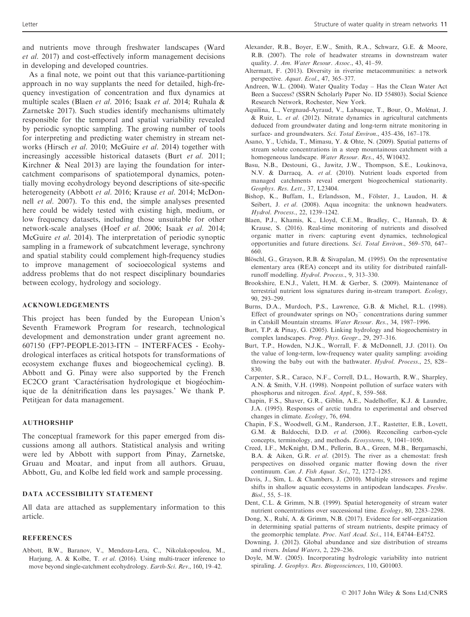and nutrients move through freshwater landscapes (Ward et al. 2017) and cost-effectively inform management decisions in developing and developed countries.

As a final note, we point out that this variance-partitioning approach in no way supplants the need for detailed, high-frequency investigation of concentration and flux dynamics at multiple scales (Blaen et al. 2016; Isaak et al. 2014; Ruhala & Zarnetske 2017). Such studies identify mechanisms ultimately responsible for the temporal and spatial variability revealed by periodic synoptic sampling. The growing number of tools for interpreting and predicting water chemistry in stream networks (Hirsch et al. 2010; McGuire et al. 2014) together with increasingly accessible historical datasets (Burt *et al.* 2011; Kirchner & Neal 2013) are laying the foundation for intercatchment comparisons of spatiotemporal dynamics, potentially moving ecohydrology beyond descriptions of site-specific heterogeneity (Abbott et al. 2016; Krause et al. 2014; McDonnell et al. 2007). To this end, the simple analyses presented here could be widely tested with existing high, medium, or low frequency datasets, including those unsuitable for other network-scale analyses (Hoef et al. 2006; Isaak et al. 2014; McGuire et al. 2014). The interpretation of periodic synoptic sampling in a framework of subcatchment leverage, synchrony and spatial stability could complement high-frequency studies to improve management of socioecological systems and address problems that do not respect disciplinary boundaries between ecology, hydrology and sociology.

# ACKNOWLEDGEMENTS

This project has been funded by the European Union's Seventh Framework Program for research, technological development and demonstration under grant agreement no. 607150 (FP7-PEOPLE-2013-ITN – INTERFACES - Ecohydrological interfaces as critical hotspots for transformations of ecosystem exchange fluxes and biogeochemical cycling). B. Abbott and G. Pinay were also supported by the French EC2CO grant 'Caractérisation hydrologique et biogéochimique de la denitrification dans les paysages.' We thank P. Petitjean for data management.

# AUTHORSHIP

The conceptual framework for this paper emerged from discussions among all authors. Statistical analysis and writing were led by Abbott with support from Pinay, Zarnetske, Gruau and Moatar, and input from all authors. Gruau, Abbott, Gu, and Kolbe led field work and sample processing.

# DATA ACCESSIBILITY STATEMENT

All data are attached as supplementary information to this article.

#### **REFERENCES**

Abbott, B.W., Baranov, V., Mendoza-Lera, C., Nikolakopoulou, M., Harjung, A. & Kolbe, T. et al. (2016). Using multi-tracer inference to move beyond single-catchment ecohydrology. Earth-Sci. Rev., 160, 19–42.

- Alexander, R.B., Boyer, E.W., Smith, R.A., Schwarz, G.E. & Moore, R.B. (2007). The role of headwater streams in downstream water quality. J. Am. Water Resour. Assoc., 43, 41–59.
- Altermatt, F. (2013). Diversity in riverine metacommunities: a network perspective. Aquat. Ecol., 47, 365–377.
- Andreen, W.L. (2004). Water Quality Today Has the Clean Water Act Been a Success? (SSRN Scholarly Paper No. ID 554803). Social Science Research Network, Rochester, New York.
- Aquilina, L., Vergnaud-Ayraud, V., Labasque, T., Bour, O., Molenat, J.  $& Ruiz, L. et al. (2012). Nitrate dynamics in agricultural catchments$ deduced from groundwater dating and long-term nitrate monitoring in surface- and groundwaters. Sci. Total Environ., 435–436, 167–178.
- Asano, Y., Uchida, T., Mimasu, Y. & Ohte, N. (2009). Spatial patterns of stream solute concentrations in a steep mountainous catchment with a homogeneous landscape. Water Resour. Res., 45, W10432.
- Basu, N.B., Destouni, G., Jawitz, J.W., Thompson, S.E., Loukinova, N.V. & Darracq, A. et al. (2010). Nutrient loads exported from managed catchments reveal emergent biogeochemical stationarity. Geophys. Res. Lett., 37, L23404.
- Bishop, K., Buffam, I., Erlandsson, M., Fölster, J., Laudon, H. & Seibert, J. et al. (2008). Aqua incognita: the unknown headwaters. Hydrol. Process., 22, 1239–1242.
- Blaen, P.J., Khamis, K., Lloyd, C.E.M., Bradley, C., Hannah, D. & Krause, S. (2016). Real-time monitoring of nutrients and dissolved organic matter in rivers: capturing event dynamics, technological opportunities and future directions. Sci. Total Environ., 569–570, 647– 660.
- Blöschl, G., Grayson, R.B. & Sivapalan, M. (1995). On the representative elementary area (REA) concept and its utility for distributed rainfallrunoff modelling. Hydrol. Process., 9, 313–330.
- Brookshire, E.N.J., Valett, H.M. & Gerber, S. (2009). Maintenance of terrestrial nutrient loss signatures during in-stream transport. Ecology, 90, 293–299.
- Burns, D.A., Murdoch, P.S., Lawrence, G.B. & Michel, R.L. (1998). Effect of groundwater springs on  $NO<sub>3</sub><sup>-</sup>$  concentrations during summer in Catskill Mountain streams. Water Resour. Res., 34, 1987–1996.
- Burt, T.P. & Pinay, G. (2005). Linking hydrology and biogeochemistry in complex landscapes. Prog. Phys. Geogr., 29, 297–316.
- Burt, T.P., Howden, N.J.K., Worrall, F. & McDonnell, J.J. (2011). On the value of long-term, low-frequency water quality sampling: avoiding throwing the baby out with the bathwater. Hydrol. Process., 25, 828– 830.
- Carpenter, S.R., Caraco, N.F., Correll, D.L., Howarth, R.W., Sharpley, A.N. & Smith, V.H. (1998). Nonpoint pollution of surface waters with phosphorus and nitrogen. Ecol. Appl., 8, 559–568.
- Chapin, F.S., Shaver, G.R., Giblin, A.E., Nadelhoffer, K.J. & Laundre, J.A. (1995). Responses of arctic tundra to experimental and observed changes in climate. Ecology, 76, 694.
- Chapin, F.S., Woodwell, G.M., Randerson, J.T., Rastetter, E.B., Lovett, G.M. & Baldocchi, D.D. et al. (2006). Reconciling carbon-cycle concepts, terminology, and methods. Ecosystems, 9, 1041–1050.
- Creed, I.F., McKnight, D.M., Pellerin, B.A., Green, M.B., Bergamaschi, B.A. & Aiken, G.R. et al. (2015). The river as a chemostat: fresh perspectives on dissolved organic matter flowing down the river continuum. Can. J. Fish Aquat. Sci., 72, 1272–1285.
- Davis, J., Sim, L. & Chambers, J. (2010). Multiple stressors and regime shifts in shallow aquatic ecosystems in antipodean landscapes. Freshw. Biol., 55, 5–18.
- Dent, C.L. & Grimm, N.B. (1999). Spatial heterogeneity of stream water nutrient concentrations over successional time. Ecology, 80, 2283–2298.
- Dong, X., Ruhí, A. & Grimm, N.B. (2017). Evidence for self-organization in determining spatial patterns of stream nutrients, despite primacy of the geomorphic template. Proc. Natl Acad. Sci., 114, E4744-E4752.
- Downing, J. (2012). Global abundance and size distribution of streams and rivers. Inland Waters, 2, 229–236.
- Doyle, M.W. (2005). Incorporating hydrologic variability into nutrient spiraling. J. Geophys. Res. Biogeosciences, 110, G01003.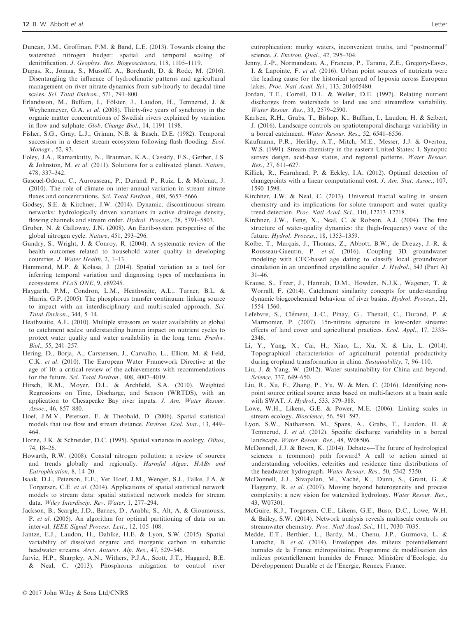- Duncan, J.M., Groffman, P.M. & Band, L.E. (2013). Towards closing the watershed nitrogen budget: spatial and temporal scaling of denitrification. J. Geophys. Res. Biogeosciences, 118, 1105–1119.
- Dupas, R., Jomaa, S., Musolff, A., Borchardt, D. & Rode, M. (2016). Disentangling the influence of hydroclimatic patterns and agricultural management on river nitrate dynamics from sub-hourly to decadal time scales. Sci. Total Environ., 571, 791-800.
- Erlandsson, M., Buffam, I., Fölster, J., Laudon, H., Temnerud, J. & Weyhenmeyer, G.A. et al. (2008). Thirty-five years of synchrony in the organic matter concentrations of Swedish rivers explained by variation in flow and sulphate. Glob. Change Biol., 14, 1191–1198.
- Fisher, S.G., Gray, L.J., Grimm, N.B. & Busch, D.E. (1982). Temporal succession in a desert stream ecosystem following flash flooding. Ecol. Monogr., 52, 93.
- Foley, J.A., Ramankutty, N., Brauman, K.A., Cassidy, E.S., Gerber, J.S. & Johnston, M. et al. (2011). Solutions for a cultivated planet. Nature, 478, 337–342.
- Gascuel-Odoux, C., Aurousseau, P., Durand, P., Ruiz, L. & Molenat, J. (2010). The role of climate on inter-annual variation in stream nitrate fluxes and concentrations. Sci. Total Environ., 408, 5657-5666.
- Godsey, S.E. & Kirchner, J.W. (2014). Dynamic, discontinuous stream networks: hydrologically driven variations in active drainage density, flowing channels and stream order. *Hydrol. Process.*, 28, 5791–5803.
- Gruber, N. & Galloway, J.N. (2008). An Earth-system perspective of the global nitrogen cycle. Nature, 451, 293–296.
- Gundry, S., Wright, J. & Conroy, R. (2004). A systematic review of the health outcomes related to household water quality in developing countries. J. Water Health, 2, 1–13.
- Hammond, M.P. & Kolasa, J. (2014). Spatial variation as a tool for inferring temporal variation and diagnosing types of mechanisms in ecosystems. PLoS ONE, 9, e89245.
- Haygarth, P.M., Condron, L.M., Heathwaite, A.L., Turner, B.L. & Harris, G.P. (2005). The phosphorus transfer continuum: linking source to impact with an interdisciplinary and multi-scaled approach. Sci. Total Environ., 344, 5–14.
- Heathwaite, A.L. (2010). Multiple stressors on water availability at global to catchment scales: understanding human impact on nutrient cycles to protect water quality and water availability in the long term. Freshw. Biol., 55, 241–257.
- Hering, D., Borja, A., Carstensen, J., Carvalho, L., Elliott, M. & Feld, C.K. et al. (2010). The European Water Framework Directive at the age of 10: a critical review of the achievements with recommendations for the future. Sci. Total Environ., 408, 4007–4019.
- Hirsch, R.M., Moyer, D.L. & Archfield, S.A. (2010). Weighted Regressions on Time, Discharge, and Season (WRTDS), with an application to Chesapeake Bay river inputs. J. Am. Water Resour. Assoc., 46, 857–880.
- Hoef, J.M.V., Peterson, E. & Theobald, D. (2006). Spatial statistical models that use flow and stream distance. Environ. Ecol. Stat., 13, 449– 464.
- Horne, J.K. & Schneider, D.C. (1995). Spatial variance in ecology. Oikos, 74, 18–26.
- Howarth, R.W. (2008). Coastal nitrogen pollution: a review of sources and trends globally and regionally. Harmful Algae, HABs and Eutrophication, 8, 14–20.
- Isaak, D.J., Peterson, E.E., Ver Hoef, J.M., Wenger, S.J., Falke, J.A. & Torgersen, C.E. et al. (2014). Applications of spatial statistical network models to stream data: spatial statistical network models for stream data. Wiley Interdiscip. Rev. Water, 1, 277–294.
- Jackson, B., Scargle, J.D., Barnes, D., Arabhi, S., Alt, A. & Gioumousis, P. et al. (2005). An algorithm for optimal partitioning of data on an interval. IEEE Signal Process. Lett., 12, 105–108.
- Jantze, E.J., Laudon, H., Dahlke, H.E. & Lyon, S.W. (2015). Spatial variability of dissolved organic and inorganic carbon in subarctic headwater streams. Arct. Antarct. Alp. Res., 47, 529–546.
- Jarvie, H.P., Sharpley, A.N., Withers, P.J.A., Scott, J.T., Haggard, B.E. & Neal, C. (2013). Phosphorus mitigation to control river

eutrophication: murky waters, inconvenient truths, and "postnormal" science. J. Environ. Qual., 42, 295–304.

- Jenny, J.-P., Normandeau, A., Francus, P., Taranu, Z.E., Gregory-Eaves, I. & Lapointe, F. et al. (2016). Urban point sources of nutrients were the leading cause for the historical spread of hypoxia across European lakes. Proc. Natl Acad. Sci., 113, 201605480.
- Jordan, T.E., Correll, D.L. & Weller, D.E. (1997). Relating nutrient discharges from watersheds to land use and streamflow variability. Water Resour. Res., 33, 2579–2590.
- Karlsen, R.H., Grabs, T., Bishop, K., Buffam, I., Laudon, H. & Seibert, J. (2016). Landscape controls on spatiotemporal discharge variability in a boreal catchment. Water Resour. Res., 52, 6541–6556.
- Kaufmann, P.R., Herlihy, A.T., Mitch, M.E., Messer, J.J. & Overton, W.S. (1991). Stream chemistry in the eastern United States: 1. Synoptic survey design, acid-base status, and regional patterns. Water Resour. Res., 27, 611–627.
- Killick, R., Fearnhead, P. & Eckley, I.A. (2012). Optimal detection of changepoints with a linear computational cost. J. Am. Stat. Assoc., 107, 1590–1598.
- Kirchner, J.W. & Neal, C. (2013). Universal fractal scaling in stream chemistry and its implications for solute transport and water quality trend detection. Proc. Natl Acad. Sci., 110, 12213–12218.
- Kirchner, J.W., Feng, X., Neal, C. & Robson, A.J. (2004). The fine structure of water-quality dynamics: the (high-frequency) wave of the future. Hydrol. Process., 18, 1353–1359.
- Kolbe, T., Marcais, J., Thomas, Z., Abbott, B.W., de Dreuzy, J.-R. & Rousseau-Gueutin, P. et al. (2016). Coupling 3D groundwater modeling with CFC-based age dating to classify local groundwater circulation in an unconfined crystalline aquifer. J. Hydrol., 543 (Part A) 31–46.
- Krause, S., Freer, J., Hannah, D.M., Howden, N.J.K., Wagener, T. & Worrall, F. (2014). Catchment similarity concepts for understanding dynamic biogeochemical behaviour of river basins. Hydrol. Process., 28, 1554–1560.
- Lefebvre, S., Clément, J.-C., Pinay, G., Thenail, C., Durand, P. & Marmonier, P. (2007). 15n-nitrate signature in low-order streams: effects of land cover and agricultural practices. Ecol. Appl., 17, 2333– 2346.
- Li, Y., Yang, X., Cai, H., Xiao, L., Xu, X. & Liu, L. (2014). Topographical characteristics of agricultural potential productivity during cropland transformation in china. Sustainability, 7, 96–110.
- Liu, J. & Yang, W. (2012). Water sustainability for China and beyond. Science, 337, 649–650.
- Liu, R., Xu, F., Zhang, P., Yu, W. & Men, C. (2016). Identifying nonpoint source critical source areas based on multi-factors at a basin scale with SWAT. *J. Hydrol.*, 533, 379-388.
- Lowe, W.H., Likens, G.E. & Power, M.E. (2006). Linking scales in stream ecology. Bioscience, 56, 591–597.
- Lyon, S.W., Nathanson, M., Spans, A., Grabs, T., Laudon, H. & Temnerud, J. et al. (2012). Specific discharge variability in a boreal landscape. Water Resour. Res., 48, W08506.
- McDonnell, J.J. & Beven, K. (2014). Debates—The future of hydrological sciences: a (common) path forward? A call to action aimed at understanding velocities, celerities and residence time distributions of the headwater hydrograph. Water Resour. Res., 50, 5342–5350.
- McDonnell, J.J., Sivapalan, M., Vache, K., Dunn, S., Grant, G. & Haggerty, R. et al. (2007). Moving beyond heterogeneity and process complexity: a new vision for watershed hydrology. Water Resour. Res., 43, W07301.
- McGuire, K.J., Torgersen, C.E., Likens, G.E., Buso, D.C., Lowe, W.H. & Bailey, S.W. (2014). Network analysis reveals multiscale controls on streamwater chemistry. Proc. Natl Acad. Sci., 111, 7030–7035.
- Medde, E.T., Berthier, L., Bardy, M., Chenu, J.P., Guzmova, L. & Laroche, B. et al. (2014). Enveloppes des milieux potentiellement humides de la France metropolitaine. Programme de modelisation des milieux potentiellement humides de France. Ministère d'Ecologie, du Développement Durable et de l'Energie, Rennes, France.